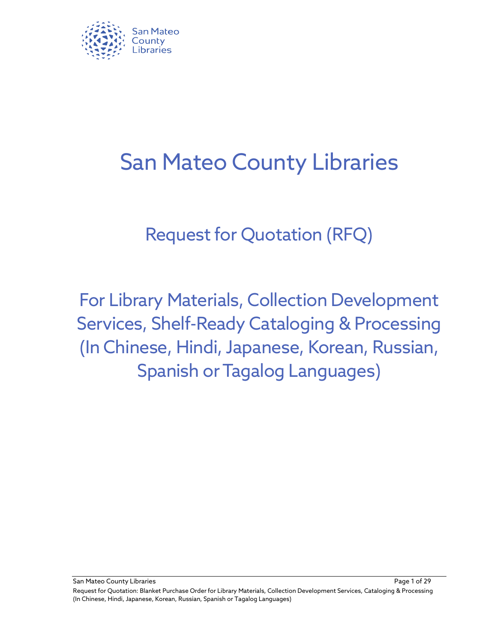

# San Mateo County Libraries

## Request for Quotation (RFQ)

For Library Materials, Collection Development Services, Shelf-Ready Cataloging & Processing (In Chinese, Hindi, Japanese, Korean, Russian, **Spanish or Tagalog Languages)** 

San Mateo County Libraries Page 1 of 29

Request for Quotation: Blanket Purchase Order for Library Materials, Collection Development Services, Cataloging & Processing (In Chinese, Hindi, Japanese, Korean, Russian, Spanish or Tagalog Languages)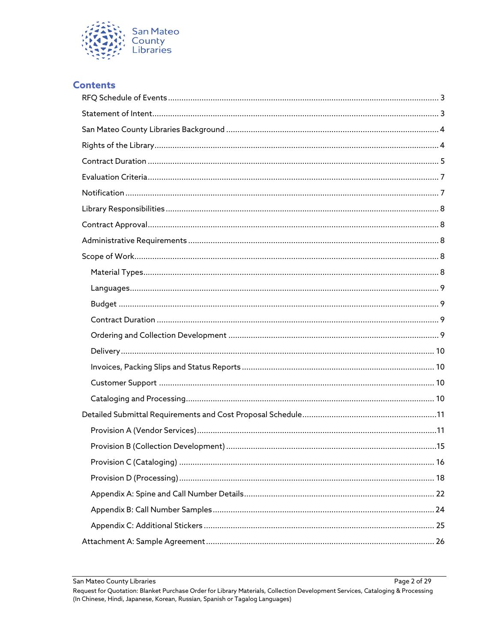

#### **Contents**

Page 2 of 29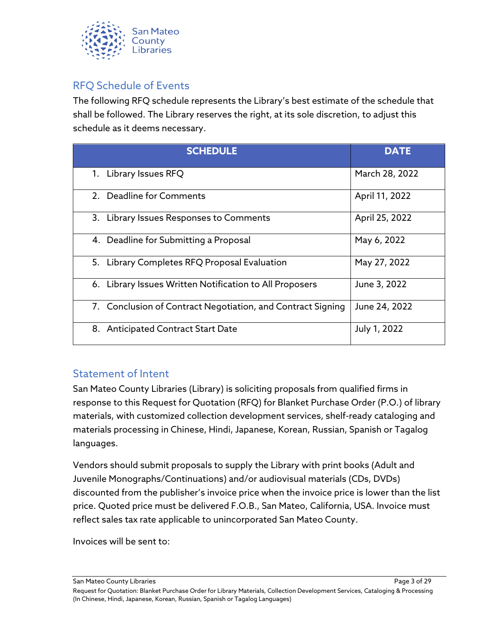

## <span id="page-2-0"></span>RFQ Schedule of Events

The following RFQ schedule represents the Library's best estimate of the schedule that shall be followed. The Library reserves the right, at its sole discretion, to adjust this schedule as it deems necessary.

| <b>SCHEDULE</b>                                             | <b>DATE</b>    |
|-------------------------------------------------------------|----------------|
| 1. Library Issues RFQ                                       | March 28, 2022 |
| 2. Deadline for Comments                                    | April 11, 2022 |
| 3. Library Issues Responses to Comments                     | April 25, 2022 |
| 4. Deadline for Submitting a Proposal                       | May 6, 2022    |
| 5. Library Completes RFQ Proposal Evaluation                | May 27, 2022   |
| 6. Library Issues Written Notification to All Proposers     | June 3, 2022   |
| 7. Conclusion of Contract Negotiation, and Contract Signing | June 24, 2022  |
| 8. Anticipated Contract Start Date                          | July 1, 2022   |

#### <span id="page-2-1"></span>Statement of Intent

San Mateo County Libraries (Library) is soliciting proposals from qualified firms in response to this Request for Quotation (RFQ) for Blanket Purchase Order (P.O.) of library materials, with customized collection development services, shelf-ready cataloging and materials processing in Chinese, Hindi, Japanese, Korean, Russian, Spanish or Tagalog languages.

Vendors should submit proposals to supply the Library with print books (Adult and Juvenile Monographs/Continuations) and/or audiovisual materials (CDs, DVDs) discounted from the publisher's invoice price when the invoice price is lower than the list price. Quoted price must be delivered F.O.B., San Mateo, California, USA. Invoice must reflect sales tax rate applicable to unincorporated San Mateo County.

Invoices will be sent to:

San Mateo County Libraries Page 3 of 29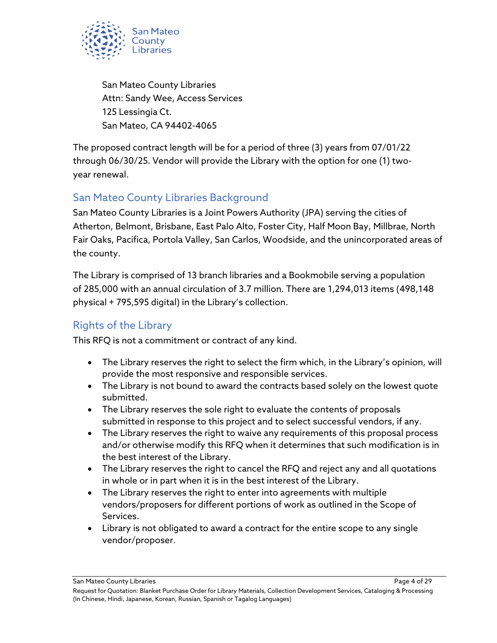

San Mateo County Libraries Attn: Sandy Wee, Access Services 125 Lessingia Ct. San Mateo, CA 94402-4065

The proposed contract length will be for a period of three (3) years from 07/01/22 through 06/30/25. Vendor will provide the Library with the option for one (1) twoyear renewal.

## <span id="page-3-0"></span>San Mateo County Libraries Background

San Mateo County Libraries is a Joint Powers Authority (JPA) serving the cities of Atherton, Belmont, Brisbane, East Palo Alto, Foster City, Half Moon Bay, Millbrae, North Fair Oaks, Pacifica, Portola Valley, San Carlos, Woodside, and the unincorporated areas of the county.

The Library is comprised of 13 branch libraries and a Bookmobile serving a population of 285,000 with an annual circulation of 3.7 million. There are 1,294,013 items (498,148 physical + 795,595 digital) in the Library's collection.

## <span id="page-3-1"></span>Rights of the Library

This RFQ is not a commitment or contract of any kind.

- The Library reserves the right to select the firm which, in the Library's opinion, will provide the most responsive and responsible services.
- The Library is not bound to award the contracts based solely on the lowest quote submitted.
- The Library reserves the sole right to evaluate the contents of proposals submitted in response to this project and to select successful vendors, if any.
- The Library reserves the right to waive any requirements of this proposal process and/or otherwise modify this RFQ when it determines that such modification is in the best interest of the Library.
- The Library reserves the right to cancel the RFQ and reject any and all quotations in whole or in part when it is in the best interest of the Library.
- The Library reserves the right to enter into agreements with multiple vendors/proposers for different portions of work as outlined in the Scope of Services.
- Library is not obligated to award a contract for the entire scope to any single vendor/proposer.

San Mateo County Libraries Page 4 of 29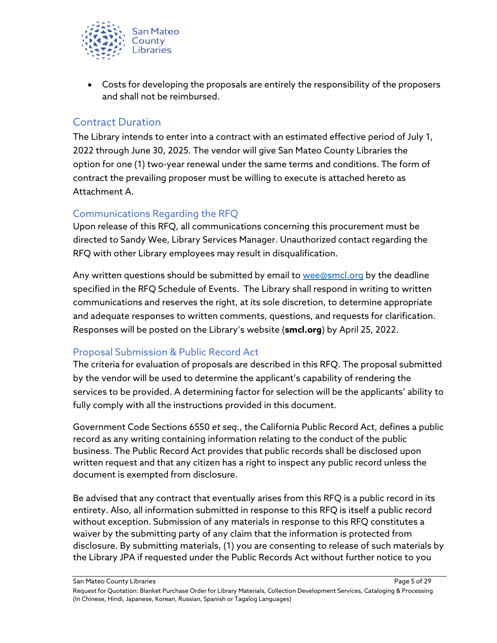

• Costs for developing the proposals are entirely the responsibility of the proposers and shall not be reimbursed.

#### <span id="page-4-0"></span>Contract Duration

The Library intends to enter into a contract with an estimated effective period of July 1, 2022 through June 30, 2025. The vendor will give San Mateo County Libraries the option for one (1) two-year renewal under the same terms and conditions. The form of contract the prevailing proposer must be willing to execute is attached hereto as Attachment A.

#### Communications Regarding the RFQ

Upon release of this RFQ, all communications concerning this procurement must be directed to Sandy Wee, Library Services Manager. Unauthorized contact regarding the RFQ with other Library employees may result in disqualification.

Any written questions should be submitted by email to [wee@smcl.org](mailto:wee@smcl.org) by the deadline specified in the RFQ Schedule of Events. The Library shall respond in writing to written communications and reserves the right, at its sole discretion, to determine appropriate and adequate responses to written comments, questions, and requests for clarification. Responses will be posted on the Library's website (**smcl.org**) by April 25, 2022.

#### Proposal Submission & Public Record Act

The criteria for evaluation of proposals are described in this RFQ. The proposal submitted by the vendor will be used to determine the applicant's capability of rendering the services to be provided. A determining factor for selection will be the applicants' ability to fully comply with all the instructions provided in this document.

Government Code Sections 6550 *et seq.*, the California Public Record Act, defines a public record as any writing containing information relating to the conduct of the public business. The Public Record Act provides that public records shall be disclosed upon written request and that any citizen has a right to inspect any public record unless the document is exempted from disclosure.

Be advised that any contract that eventually arises from this RFQ is a public record in its entirety. Also, all information submitted in response to this RFQ is itself a public record without exception. Submission of any materials in response to this RFQ constitutes a waiver by the submitting party of any claim that the information is protected from disclosure. By submitting materials, (1) you are consenting to release of such materials by the Library JPA if requested under the Public Records Act without further notice to you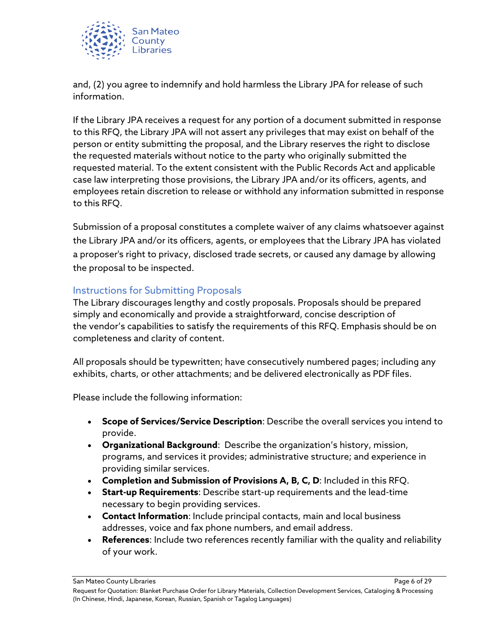

and, (2) you agree to indemnify and hold harmless the Library JPA for release of such information.

If the Library JPA receives a request for any portion of a document submitted in response to this RFQ, the Library JPA will not assert any privileges that may exist on behalf of the person or entity submitting the proposal, and the Library reserves the right to disclose the requested materials without notice to the party who originally submitted the requested material. To the extent consistent with the Public Records Act and applicable case law interpreting those provisions, the Library JPA and/or its officers, agents, and employees retain discretion to release or withhold any information submitted in response to this RFQ.

Submission of a proposal constitutes a complete waiver of any claims whatsoever against the Library JPA and/or its officers, agents, or employees that the Library JPA has violated a proposer's right to privacy, disclosed trade secrets, or caused any damage by allowing the proposal to be inspected.

#### Instructions for Submitting Proposals

The Library discourages lengthy and costly proposals. Proposals should be prepared simply and economically and provide a straightforward, concise description of the vendor's capabilities to satisfy the requirements of this RFQ. Emphasis should be on completeness and clarity of content.

All proposals should be typewritten; have consecutively numbered pages; including any exhibits, charts, or other attachments; and be delivered electronically as PDF files.

Please include the following information:

- **Scope of Services/Service Description**: Describe the overall services you intend to provide.
- **Organizational Background**: Describe the organization's history, mission, programs, and services it provides; administrative structure; and experience in providing similar services.
- **Completion and Submission of Provisions A, B, C, D**: Included in this RFQ.
- **Start-up Requirements**: Describe start-up requirements and the lead-time necessary to begin providing services.
- **Contact Information**: Include principal contacts, main and local business addresses, voice and fax phone numbers, and email address.
- **References**: Include two references recently familiar with the quality and reliability of your work.

San Mateo County Libraries Page 6 of 29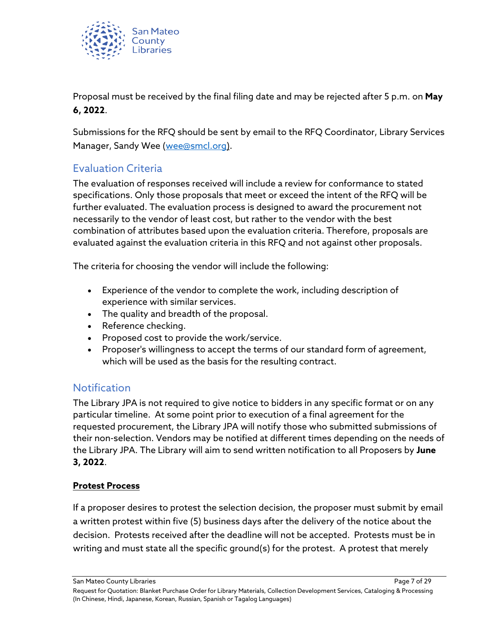

Proposal must be received by the final filing date and may be rejected after 5 p.m. on **May 6, 2022**.

Submissions for the RFQ should be sent by email to the RFQ Coordinator, Library Services Manager, Sandy Wee [\(wee@smcl.org\)](mailto:wee@smcl.org).

## <span id="page-6-0"></span>Evaluation Criteria

The evaluation of responses received will include a review for conformance to stated specifications. Only those proposals that meet or exceed the intent of the RFQ will be further evaluated. The evaluation process is designed to award the procurement not necessarily to the vendor of least cost, but rather to the vendor with the best combination of attributes based upon the evaluation criteria. Therefore, proposals are evaluated against the evaluation criteria in this RFQ and not against other proposals.

The criteria for choosing the vendor will include the following:

- Experience of the vendor to complete the work, including description of experience with similar services.
- The quality and breadth of the proposal.
- Reference checking.
- Proposed cost to provide the work/service.
- Proposer's willingness to accept the terms of our standard form of agreement, which will be used as the basis for the resulting contract.

#### <span id="page-6-1"></span>**Notification**

The Library JPA is not required to give notice to bidders in any specific format or on any particular timeline. At some point prior to execution of a final agreement for the requested procurement, the Library JPA will notify those who submitted submissions of their non-selection. Vendors may be notified at different times depending on the needs of the Library JPA. The Library will aim to send written notification to all Proposers by **June 3, 2022**.

#### **Protest Process**

If a proposer desires to protest the selection decision, the proposer must submit by email a written protest within five (5) business days after the delivery of the notice about the decision. Protests received after the deadline will not be accepted. Protests must be in writing and must state all the specific ground(s) for the protest. A protest that merely

San Mateo County Libraries **Page 7** of 29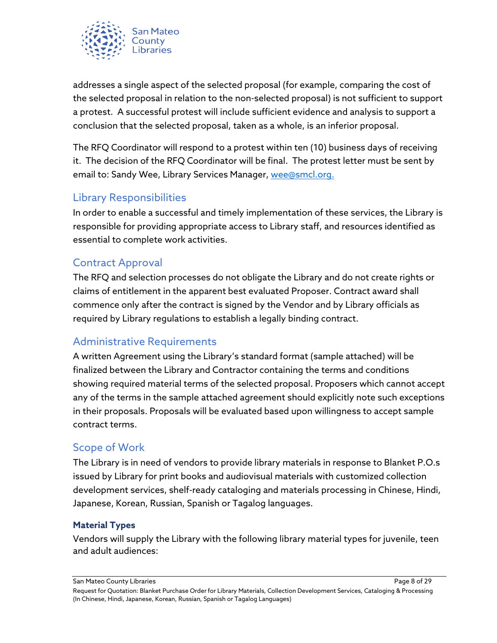

addresses a single aspect of the selected proposal (for example, comparing the cost of the selected proposal in relation to the non-selected proposal) is not sufficient to support a protest. A successful protest will include sufficient evidence and analysis to support a conclusion that the selected proposal, taken as a whole, is an inferior proposal.

The RFQ Coordinator will respond to a protest within ten (10) business days of receiving it. The decision of the RFQ Coordinator will be final. The protest letter must be sent by email to: Sandy Wee, Library Services Manager, [wee@smcl.org.](mailto:wee@smcl.org)

## <span id="page-7-0"></span>Library Responsibilities

In order to enable a successful and timely implementation of these services, the Library is responsible for providing appropriate access to Library staff, and resources identified as essential to complete work activities.

## <span id="page-7-1"></span>Contract Approval

The RFQ and selection processes do not obligate the Library and do not create rights or claims of entitlement in the apparent best evaluated Proposer. Contract award shall commence only after the contract is signed by the Vendor and by Library officials as required by Library regulations to establish a legally binding contract.

## <span id="page-7-2"></span>Administrative Requirements

A written Agreement using the Library's standard format (sample attached) will be finalized between the Library and Contractor containing the terms and conditions showing required material terms of the selected proposal. Proposers which cannot accept any of the terms in the sample attached agreement should explicitly note such exceptions in their proposals. Proposals will be evaluated based upon willingness to accept sample contract terms.

#### <span id="page-7-3"></span>Scope of Work

The Library is in need of vendors to provide library materials in response to Blanket P.O.s issued by Library for print books and audiovisual materials with customized collection development services, shelf-ready cataloging and materials processing in Chinese, Hindi, Japanese, Korean, Russian, Spanish or Tagalog languages.

#### <span id="page-7-4"></span>**Material Types**

Vendors will supply the Library with the following library material types for juvenile, teen and adult audiences:

San Mateo County Libraries Page 8 of 29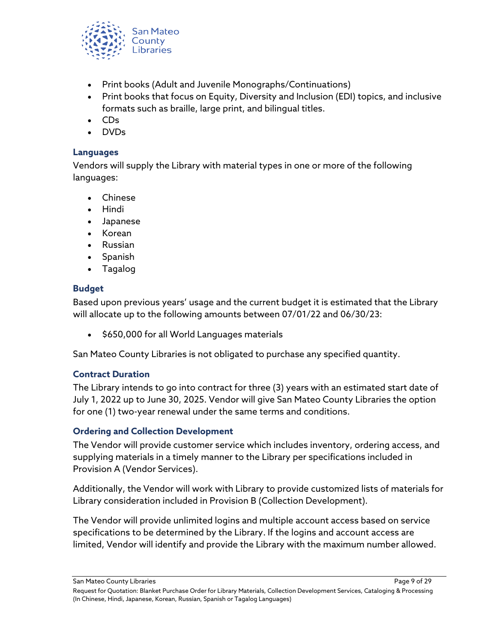

- Print books (Adult and Juvenile Monographs/Continuations)
- Print books that focus on Equity, Diversity and Inclusion (EDI) topics, and inclusive formats such as braille, large print, and bilingual titles.
- CDs
- DVDs

#### <span id="page-8-0"></span>**Languages**

Vendors will supply the Library with material types in one or more of the following languages:

- Chinese
- Hindi
- Japanese
- Korean
- Russian
- Spanish
- Tagalog

#### <span id="page-8-1"></span>**Budget**

Based upon previous years' usage and the current budget it is estimated that the Library will allocate up to the following amounts between 07/01/22 and 06/30/23:

• \$650,000 for all World Languages materials

San Mateo County Libraries is not obligated to purchase any specified quantity.

#### <span id="page-8-2"></span>**Contract Duration**

The Library intends to go into contract for three (3) years with an estimated start date of July 1, 2022 up to June 30, 2025. Vendor will give San Mateo County Libraries the option for one (1) two-year renewal under the same terms and conditions.

#### <span id="page-8-3"></span>**Ordering and Collection Development**

The Vendor will provide customer service which includes inventory, ordering access, and supplying materials in a timely manner to the Library per specifications included in Provision A (Vendor Services).

Additionally, the Vendor will work with Library to provide customized lists of materials for Library consideration included in Provision B (Collection Development).

The Vendor will provide unlimited logins and multiple account access based on service specifications to be determined by the Library. If the logins and account access are limited, Vendor will identify and provide the Library with the maximum number allowed.

San Mateo County Libraries Page 9 of 29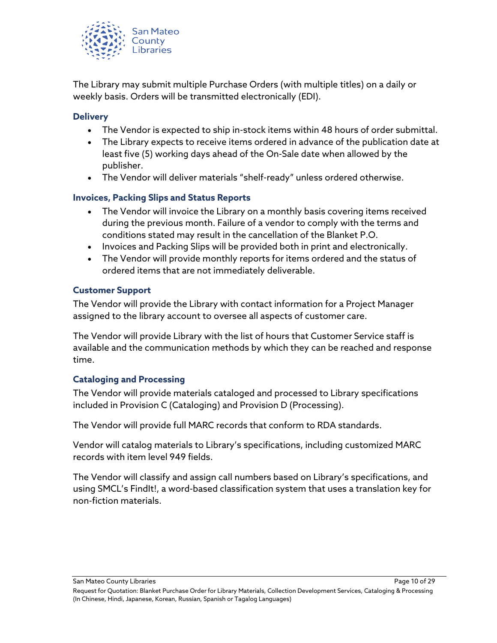

The Library may submit multiple Purchase Orders (with multiple titles) on a daily or weekly basis. Orders will be transmitted electronically (EDI).

#### <span id="page-9-0"></span>**Delivery**

- The Vendor is expected to ship in-stock items within 48 hours of order submittal.
- The Library expects to receive items ordered in advance of the publication date at least five (5) working days ahead of the On-Sale date when allowed by the publisher.
- The Vendor will deliver materials "shelf-ready" unless ordered otherwise.

#### <span id="page-9-1"></span>**Invoices, Packing Slips and Status Reports**

- The Vendor will invoice the Library on a monthly basis covering items received during the previous month. Failure of a vendor to comply with the terms and conditions stated may result in the cancellation of the Blanket P.O.
- Invoices and Packing Slips will be provided both in print and electronically.
- The Vendor will provide monthly reports for items ordered and the status of ordered items that are not immediately deliverable.

#### <span id="page-9-2"></span>**Customer Support**

The Vendor will provide the Library with contact information for a Project Manager assigned to the library account to oversee all aspects of customer care.

The Vendor will provide Library with the list of hours that Customer Service staff is available and the communication methods by which they can be reached and response time.

#### <span id="page-9-3"></span>**Cataloging and Processing**

The Vendor will provide materials cataloged and processed to Library specifications included in Provision C (Cataloging) and Provision D (Processing).

The Vendor will provide full MARC records that conform to RDA standards.

Vendor will catalog materials to Library's specifications, including customized MARC records with item level 949 fields.

The Vendor will classify and assign call numbers based on Library's specifications, and using SMCL's FindIt!, a word-based classification system that uses a translation key for non-fiction materials.

San Mateo County Libraries **Page 10 of 29** 

Request for Quotation: Blanket Purchase Order for Library Materials, Collection Development Services, Cataloging & Processing (In Chinese, Hindi, Japanese, Korean, Russian, Spanish or Tagalog Languages)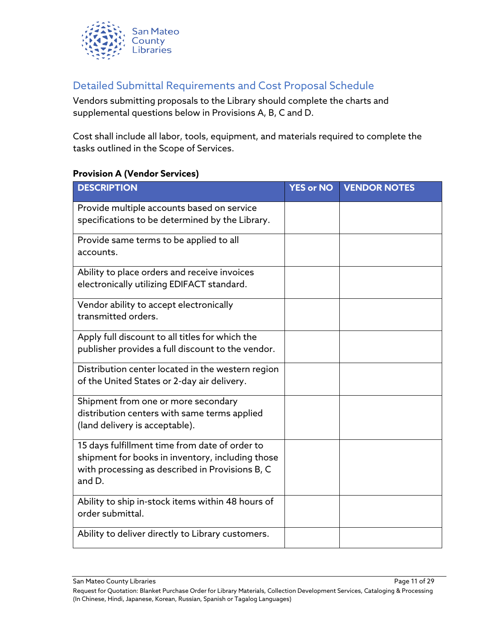

## <span id="page-10-0"></span>Detailed Submittal Requirements and Cost Proposal Schedule

Vendors submitting proposals to the Library should complete the charts and supplemental questions below in Provisions A, B, C and D.

Cost shall include all labor, tools, equipment, and materials required to complete the tasks outlined in the Scope of Services.

#### <span id="page-10-1"></span>**Provision A (Vendor Services)**

| <b>DESCRIPTION</b>                                                                                                                                              | <b>YES or NO</b> | <b>VENDOR NOTES</b> |
|-----------------------------------------------------------------------------------------------------------------------------------------------------------------|------------------|---------------------|
| Provide multiple accounts based on service<br>specifications to be determined by the Library.                                                                   |                  |                     |
| Provide same terms to be applied to all<br>accounts.                                                                                                            |                  |                     |
| Ability to place orders and receive invoices<br>electronically utilizing EDIFACT standard.                                                                      |                  |                     |
| Vendor ability to accept electronically<br>transmitted orders.                                                                                                  |                  |                     |
| Apply full discount to all titles for which the<br>publisher provides a full discount to the vendor.                                                            |                  |                     |
| Distribution center located in the western region<br>of the United States or 2-day air delivery.                                                                |                  |                     |
| Shipment from one or more secondary<br>distribution centers with same terms applied<br>(land delivery is acceptable).                                           |                  |                     |
| 15 days fulfillment time from date of order to<br>shipment for books in inventory, including those<br>with processing as described in Provisions B, C<br>and D. |                  |                     |
| Ability to ship in-stock items within 48 hours of<br>order submittal.                                                                                           |                  |                     |
| Ability to deliver directly to Library customers.                                                                                                               |                  |                     |

San Mateo County Libraries **Page 11** of 29

Request for Quotation: Blanket Purchase Order for Library Materials, Collection Development Services, Cataloging & Processing (In Chinese, Hindi, Japanese, Korean, Russian, Spanish or Tagalog Languages)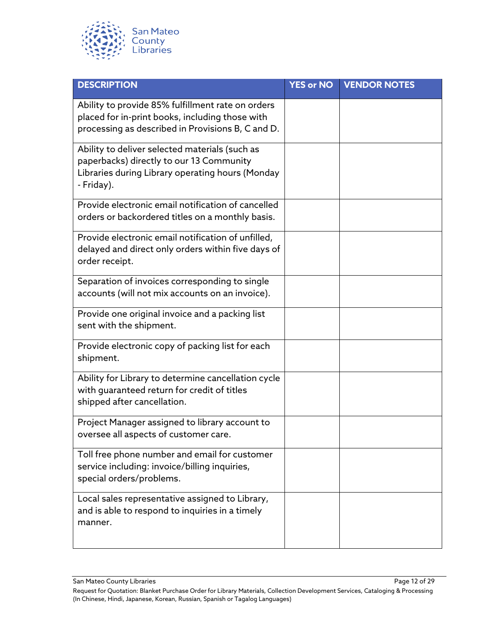

| <b>DESCRIPTION</b>                                                                                                                                           | <b>YES or NO</b> | <b>VENDOR NOTES</b> |
|--------------------------------------------------------------------------------------------------------------------------------------------------------------|------------------|---------------------|
| Ability to provide 85% fulfillment rate on orders<br>placed for in-print books, including those with<br>processing as described in Provisions B, C and D.    |                  |                     |
| Ability to deliver selected materials (such as<br>paperbacks) directly to our 13 Community<br>Libraries during Library operating hours (Monday<br>- Friday). |                  |                     |
| Provide electronic email notification of cancelled<br>orders or backordered titles on a monthly basis.                                                       |                  |                     |
| Provide electronic email notification of unfilled,<br>delayed and direct only orders within five days of<br>order receipt.                                   |                  |                     |
| Separation of invoices corresponding to single<br>accounts (will not mix accounts on an invoice).                                                            |                  |                     |
| Provide one original invoice and a packing list<br>sent with the shipment.                                                                                   |                  |                     |
| Provide electronic copy of packing list for each<br>shipment.                                                                                                |                  |                     |
| Ability for Library to determine cancellation cycle<br>with guaranteed return for credit of titles<br>shipped after cancellation.                            |                  |                     |
| Project Manager assigned to library account to<br>oversee all aspects of customer care.                                                                      |                  |                     |
| Toll free phone number and email for customer<br>service including: invoice/billing inquiries,<br>special orders/problems.                                   |                  |                     |
| Local sales representative assigned to Library,<br>and is able to respond to inquiries in a timely<br>manner.                                                |                  |                     |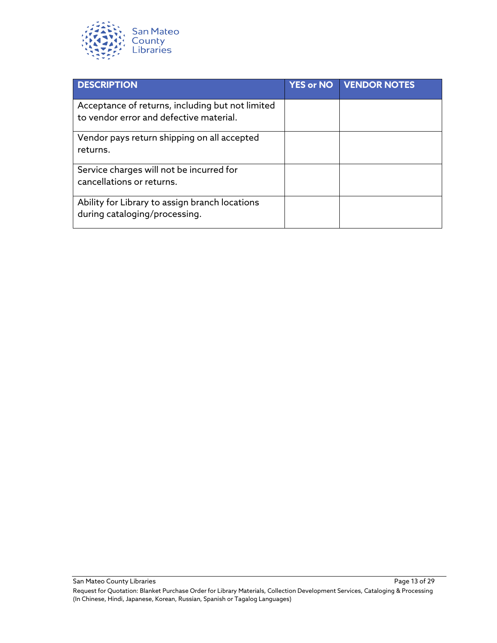

| <b>DESCRIPTION</b>                                                                          | <b>YES or NO</b> | <b>VENDOR NOTES</b> |
|---------------------------------------------------------------------------------------------|------------------|---------------------|
| Acceptance of returns, including but not limited<br>to vendor error and defective material. |                  |                     |
| Vendor pays return shipping on all accepted<br>returns.                                     |                  |                     |
| Service charges will not be incurred for<br>cancellations or returns.                       |                  |                     |
| Ability for Library to assign branch locations<br>during cataloging/processing.             |                  |                     |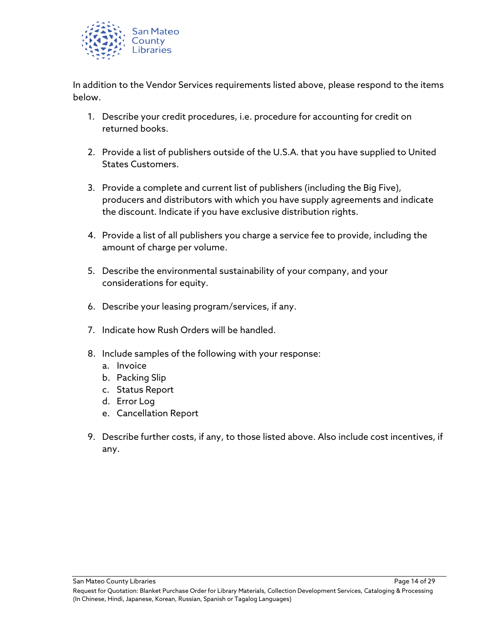

In addition to the Vendor Services requirements listed above, please respond to the items below.

- 1. Describe your credit procedures, i.e. procedure for accounting for credit on returned books.
- 2. Provide a list of publishers outside of the U.S.A. that you have supplied to United States Customers.
- 3. Provide a complete and current list of publishers (including the Big Five), producers and distributors with which you have supply agreements and indicate the discount. Indicate if you have exclusive distribution rights.
- 4. Provide a list of all publishers you charge a service fee to provide, including the amount of charge per volume.
- 5. Describe the environmental sustainability of your company, and your considerations for equity.
- 6. Describe your leasing program/services, if any.
- 7. Indicate how Rush Orders will be handled.
- 8. Include samples of the following with your response:
	- a. Invoice
	- b. Packing Slip
	- c. Status Report
	- d. Error Log
	- e. Cancellation Report
- 9. Describe further costs, if any, to those listed above. Also include cost incentives, if any.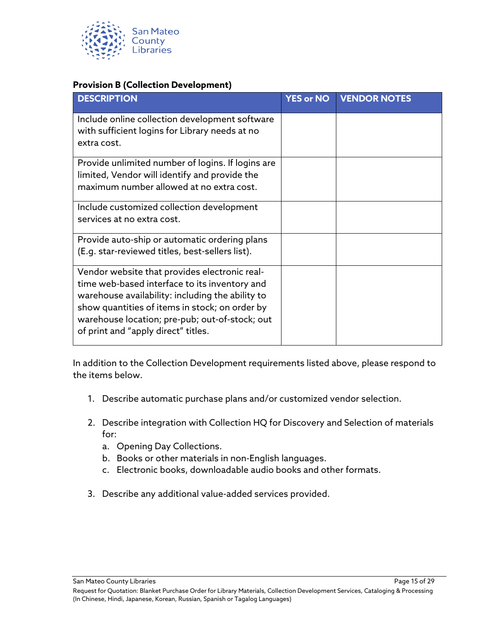

#### <span id="page-14-0"></span>**Provision B (Collection Development)**

| <b>DESCRIPTION</b>                                                                                                                                                                                                                                                                            | <b>YES or NO</b> | <b>VENDOR NOTES</b> |
|-----------------------------------------------------------------------------------------------------------------------------------------------------------------------------------------------------------------------------------------------------------------------------------------------|------------------|---------------------|
| Include online collection development software<br>with sufficient logins for Library needs at no<br>extra cost.                                                                                                                                                                               |                  |                     |
| Provide unlimited number of logins. If logins are<br>limited, Vendor will identify and provide the<br>maximum number allowed at no extra cost.                                                                                                                                                |                  |                     |
| Include customized collection development<br>services at no extra cost.                                                                                                                                                                                                                       |                  |                     |
| Provide auto-ship or automatic ordering plans<br>(E.g. star-reviewed titles, best-sellers list).                                                                                                                                                                                              |                  |                     |
| Vendor website that provides electronic real-<br>time web-based interface to its inventory and<br>warehouse availability: including the ability to<br>show quantities of items in stock; on order by<br>warehouse location; pre-pub; out-of-stock; out<br>of print and "apply direct" titles. |                  |                     |

In addition to the Collection Development requirements listed above, please respond to the items below.

- 1. Describe automatic purchase plans and/or customized vendor selection.
- 2. Describe integration with Collection HQ for Discovery and Selection of materials for:
	- a. Opening Day Collections.
	- b. Books or other materials in non-English languages.
	- c. Electronic books, downloadable audio books and other formats.
- 3. Describe any additional value-added services provided.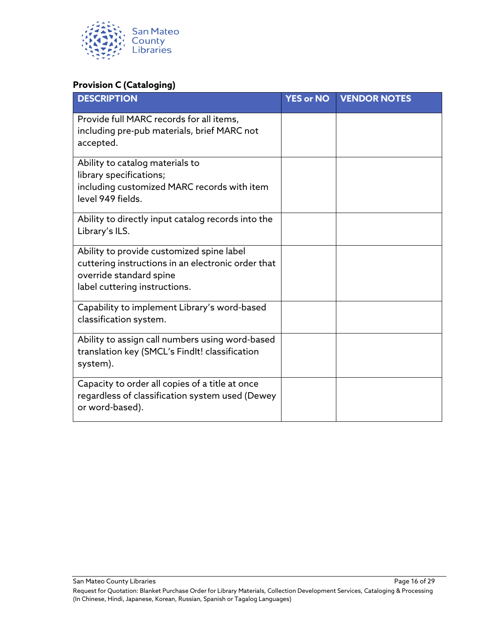

#### <span id="page-15-0"></span>**Provision C (Cataloging)**

| <b>DESCRIPTION</b>                                                                                                                                          | <b>YES or NO</b> | <b>VENDOR NOTES</b> |
|-------------------------------------------------------------------------------------------------------------------------------------------------------------|------------------|---------------------|
| Provide full MARC records for all items,<br>including pre-pub materials, brief MARC not<br>accepted.                                                        |                  |                     |
| Ability to catalog materials to<br>library specifications;<br>including customized MARC records with item<br>level 949 fields.                              |                  |                     |
| Ability to directly input catalog records into the<br>Library's ILS.                                                                                        |                  |                     |
| Ability to provide customized spine label<br>cuttering instructions in an electronic order that<br>override standard spine<br>label cuttering instructions. |                  |                     |
| Capability to implement Library's word-based<br>classification system.                                                                                      |                  |                     |
| Ability to assign call numbers using word-based<br>translation key (SMCL's Findlt! classification<br>system).                                               |                  |                     |
| Capacity to order all copies of a title at once<br>regardless of classification system used (Dewey<br>or word-based).                                       |                  |                     |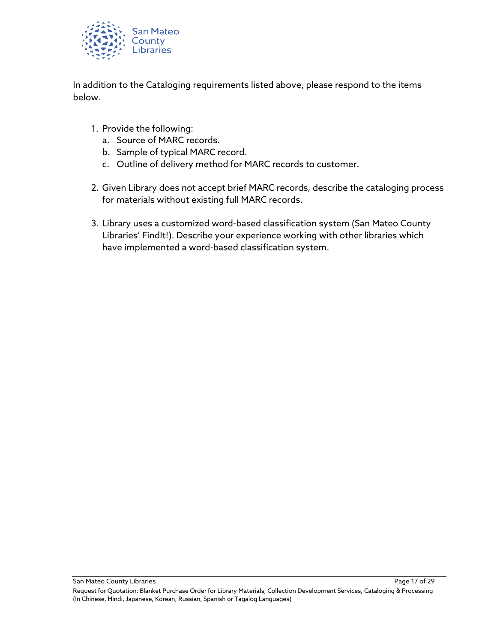

In addition to the Cataloging requirements listed above, please respond to the items below.

- 1. Provide the following:
	- a. Source of MARC records.
	- b. Sample of typical MARC record.
	- c. Outline of delivery method for MARC records to customer.
- 2. Given Library does not accept brief MARC records, describe the cataloging process for materials without existing full MARC records.
- 3. Library uses a customized word-based classification system (San Mateo County Libraries' FindIt!). Describe your experience working with other libraries which have implemented a word-based classification system.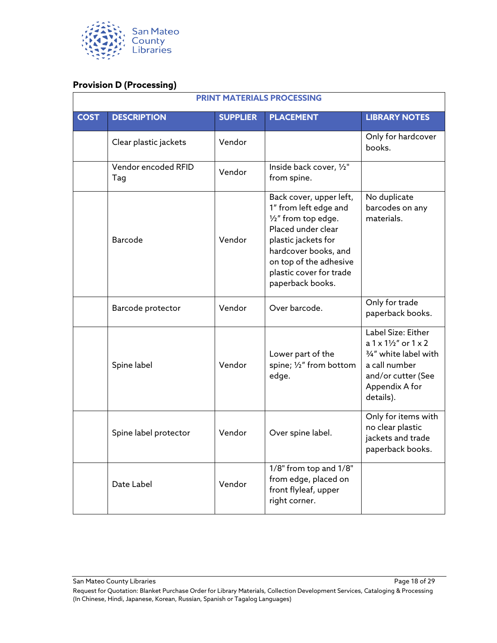

#### <span id="page-17-0"></span>**Provision D (Processing)**

| <b>PRINT MATERIALS PROCESSING</b> |                            |                 |                                                                                                                                                                                                                       |                                                                                                                                              |
|-----------------------------------|----------------------------|-----------------|-----------------------------------------------------------------------------------------------------------------------------------------------------------------------------------------------------------------------|----------------------------------------------------------------------------------------------------------------------------------------------|
| <b>COST</b>                       | <b>DESCRIPTION</b>         | <b>SUPPLIER</b> | <b>PLACEMENT</b>                                                                                                                                                                                                      | <b>LIBRARY NOTES</b>                                                                                                                         |
|                                   | Clear plastic jackets      | Vendor          |                                                                                                                                                                                                                       | Only for hardcover<br>books.                                                                                                                 |
|                                   | Vendor encoded RFID<br>Tag | Vendor          | Inside back cover, 1/2"<br>from spine.                                                                                                                                                                                |                                                                                                                                              |
|                                   | <b>Barcode</b>             | Vendor          | Back cover, upper left,<br>1" from left edge and<br>1/2" from top edge.<br>Placed under clear<br>plastic jackets for<br>hardcover books, and<br>on top of the adhesive<br>plastic cover for trade<br>paperback books. | No duplicate<br>barcodes on any<br>materials.                                                                                                |
|                                   | Barcode protector          | Vendor          | Over barcode.                                                                                                                                                                                                         | Only for trade<br>paperback books.                                                                                                           |
|                                   | Spine label                | Vendor          | Lower part of the<br>spine; 1/2" from bottom<br>edge.                                                                                                                                                                 | Label Size: Either<br>$a 1x 11/2''$ or $1x 2$<br>3/4" white label with<br>a call number<br>and/or cutter (See<br>Appendix A for<br>details). |
|                                   | Spine label protector      | Vendor          | Over spine label.                                                                                                                                                                                                     | Only for items with<br>no clear plastic<br>jackets and trade<br>paperback books.                                                             |
|                                   | Date Label                 | Vendor          | 1/8" from top and 1/8"<br>from edge, placed on<br>front flyleaf, upper<br>right corner.                                                                                                                               |                                                                                                                                              |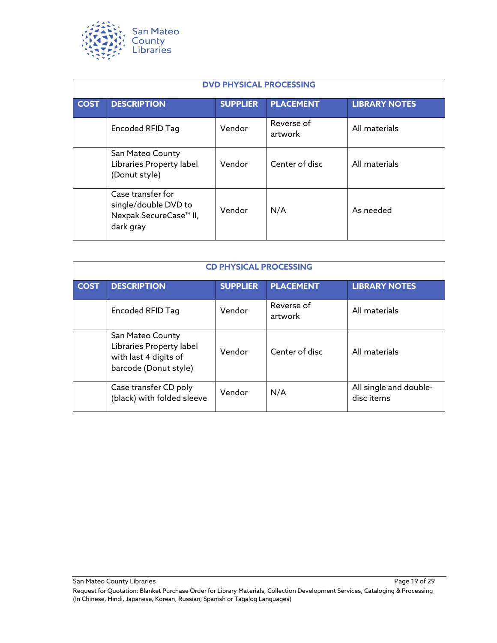

| <b>DVD PHYSICAL PROCESSING</b> |                                                                                              |                 |                       |                      |
|--------------------------------|----------------------------------------------------------------------------------------------|-----------------|-----------------------|----------------------|
| <b>COST</b>                    | <b>DESCRIPTION</b>                                                                           | <b>SUPPLIER</b> | <b>PLACEMENT</b>      | <b>LIBRARY NOTES</b> |
|                                | Encoded RFID Tag                                                                             | Vendor          | Reverse of<br>artwork | All materials        |
|                                | San Mateo County<br>Libraries Property label<br>(Donut style)                                | Vendor          | Center of disc        | All materials        |
|                                | Case transfer for<br>single/double DVD to<br>Nexpak SecureCase <sup>™</sup> II,<br>dark gray | Vendor          | N/A                   | As needed            |

| <b>CD PHYSICAL PROCESSING</b> |                                                                                                |                 |                       |                                      |
|-------------------------------|------------------------------------------------------------------------------------------------|-----------------|-----------------------|--------------------------------------|
| <b>COST</b>                   | <b>DESCRIPTION</b>                                                                             | <b>SUPPLIER</b> | <b>PLACEMENT</b>      | <b>LIBRARY NOTES</b>                 |
|                               | Encoded RFID Tag                                                                               | Vendor          | Reverse of<br>artwork | All materials                        |
|                               | San Mateo County<br>Libraries Property label<br>with last 4 digits of<br>barcode (Donut style) | Vendor          | Center of disc        | All materials                        |
|                               | Case transfer CD poly<br>(black) with folded sleeve                                            | Vendor          | N/A                   | All single and double-<br>disc items |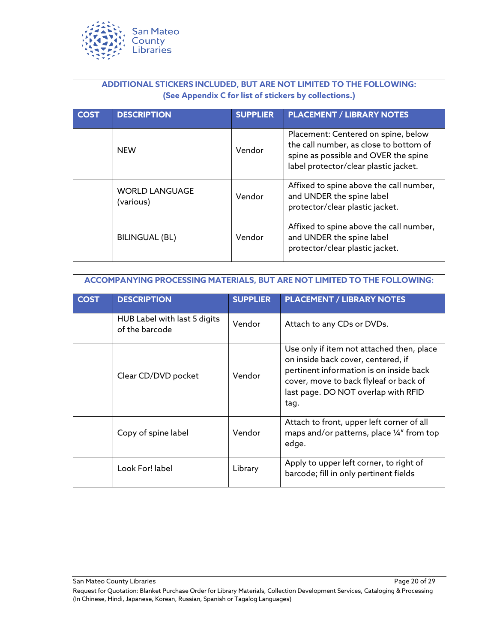

| ADDITIONAL STICKERS INCLUDED, BUT ARE NOT LIMITED TO THE FOLLOWING:<br>(See Appendix C for list of stickers by collections.) |                                    |                 |                                                                                                                                                                |  |
|------------------------------------------------------------------------------------------------------------------------------|------------------------------------|-----------------|----------------------------------------------------------------------------------------------------------------------------------------------------------------|--|
| <b>COST</b>                                                                                                                  | <b>DESCRIPTION</b>                 | <b>SUPPLIER</b> | <b>PLACEMENT / LIBRARY NOTES</b>                                                                                                                               |  |
|                                                                                                                              | <b>NEW</b>                         | Vendor          | Placement: Centered on spine, below<br>the call number, as close to bottom of<br>spine as possible and OVER the spine<br>label protector/clear plastic jacket. |  |
|                                                                                                                              | <b>WORLD LANGUAGE</b><br>(various) | Vendor          | Affixed to spine above the call number,<br>and UNDER the spine label<br>protector/clear plastic jacket.                                                        |  |
|                                                                                                                              | <b>BILINGUAL (BL)</b>              | Vendor          | Affixed to spine above the call number,<br>and UNDER the spine label<br>protector/clear plastic jacket.                                                        |  |

| ACCOMPANYING PROCESSING MATERIALS, BUT ARE NOT LIMITED TO THE FOLLOWING: |                                                |                 |                                                                                                                                                                                                                     |  |  |
|--------------------------------------------------------------------------|------------------------------------------------|-----------------|---------------------------------------------------------------------------------------------------------------------------------------------------------------------------------------------------------------------|--|--|
| <b>COST</b>                                                              | <b>DESCRIPTION</b>                             | <b>SUPPLIER</b> | <b>PLACEMENT / LIBRARY NOTES</b>                                                                                                                                                                                    |  |  |
|                                                                          | HUB Label with last 5 digits<br>of the barcode | Vendor          | Attach to any CDs or DVDs.                                                                                                                                                                                          |  |  |
|                                                                          | Clear CD/DVD pocket                            | Vendor          | Use only if item not attached then, place<br>on inside back cover, centered, if<br>pertinent information is on inside back<br>cover, move to back flyleaf or back of<br>last page. DO NOT overlap with RFID<br>tag. |  |  |
|                                                                          | Copy of spine label                            | Vendor          | Attach to front, upper left corner of all<br>maps and/or patterns, place 1/4" from top<br>edge.                                                                                                                     |  |  |
|                                                                          | Look For! label                                | Library         | Apply to upper left corner, to right of<br>barcode; fill in only pertinent fields                                                                                                                                   |  |  |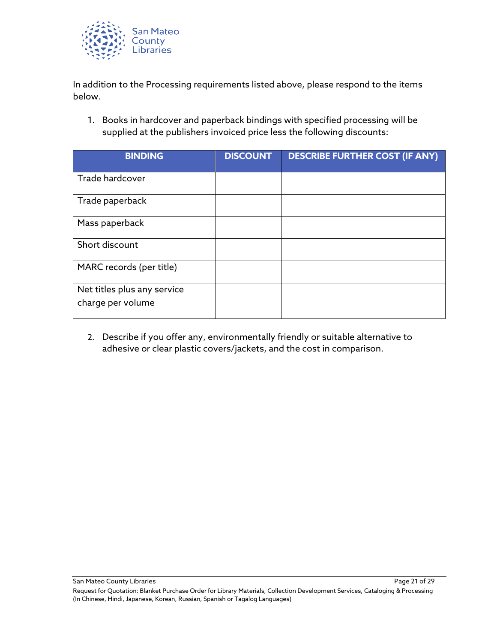

In addition to the Processing requirements listed above, please respond to the items below.

1. Books in hardcover and paperback bindings with specified processing will be supplied at the publishers invoiced price less the following discounts:

| <b>BINDING</b>                                   | <b>DISCOUNT</b> | <b>DESCRIBE FURTHER COST (IF ANY)</b> |
|--------------------------------------------------|-----------------|---------------------------------------|
| Trade hardcover                                  |                 |                                       |
| Trade paperback                                  |                 |                                       |
| Mass paperback                                   |                 |                                       |
| Short discount                                   |                 |                                       |
| MARC records (per title)                         |                 |                                       |
| Net titles plus any service<br>charge per volume |                 |                                       |

2. Describe if you offer any, environmentally friendly or suitable alternative to adhesive or clear plastic covers/jackets, and the cost in comparison.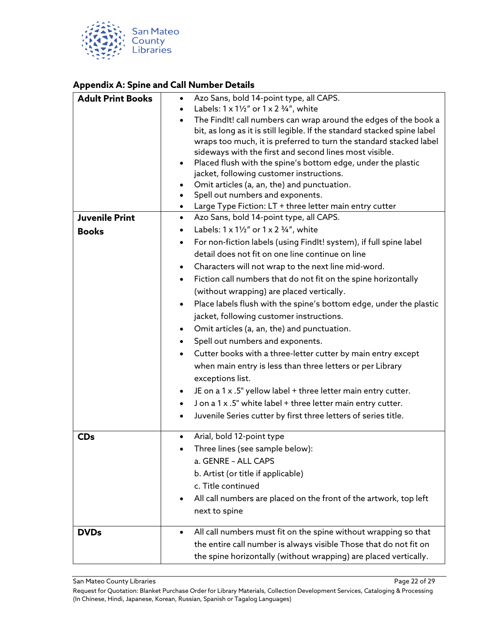

#### <span id="page-21-0"></span>**Appendix A: Spine and Call Number Details**

| <b>Adult Print Books</b> | Azo Sans, bold 14-point type, all CAPS.<br>$\bullet$                         |
|--------------------------|------------------------------------------------------------------------------|
|                          | Labels: $1 \times 1\frac{1}{2}$ or $1 \times 2\frac{3}{4}$ , white           |
|                          | The Findlt! call numbers can wrap around the edges of the book a             |
|                          | bit, as long as it is still legible. If the standard stacked spine label     |
|                          | wraps too much, it is preferred to turn the standard stacked label           |
|                          | sideways with the first and second lines most visible.                       |
|                          | Placed flush with the spine's bottom edge, under the plastic                 |
|                          | jacket, following customer instructions.                                     |
|                          | Omit articles (a, an, the) and punctuation.                                  |
|                          | Spell out numbers and exponents.<br>$\bullet$                                |
|                          | Large Type Fiction: LT + three letter main entry cutter                      |
| <b>Juvenile Print</b>    | Azo Sans, bold 14-point type, all CAPS.<br>$\bullet$                         |
| <b>Books</b>             | Labels: $1 \times 1\frac{1}{2}$ or $1 \times 2\frac{3}{4}$ , white           |
|                          | For non-fiction labels (using FindIt! system), if full spine label           |
|                          | detail does not fit on one line continue on line                             |
|                          | Characters will not wrap to the next line mid-word.                          |
|                          | Fiction call numbers that do not fit on the spine horizontally               |
|                          | (without wrapping) are placed vertically.                                    |
|                          | Place labels flush with the spine's bottom edge, under the plastic           |
|                          | jacket, following customer instructions.                                     |
|                          | Omit articles (a, an, the) and punctuation.                                  |
|                          | Spell out numbers and exponents.<br>$\bullet$                                |
|                          |                                                                              |
|                          | Cutter books with a three-letter cutter by main entry except                 |
|                          | when main entry is less than three letters or per Library                    |
|                          | exceptions list.                                                             |
|                          | JE on a 1 x .5" yellow label + three letter main entry cutter.               |
|                          | J on a 1 x .5" white label + three letter main entry cutter.                 |
|                          | Juvenile Series cutter by first three letters of series title.               |
| <b>CDs</b>               | Arial, bold 12-point type                                                    |
|                          | Three lines (see sample below):                                              |
|                          | a. GENRE - ALL CAPS                                                          |
|                          | b. Artist (or title if applicable)                                           |
|                          | c. Title continued                                                           |
|                          | All call numbers are placed on the front of the artwork, top left            |
|                          | next to spine                                                                |
|                          |                                                                              |
| <b>DVDs</b>              | All call numbers must fit on the spine without wrapping so that<br>$\bullet$ |
|                          | the entire call number is always visible Those that do not fit on            |
|                          | the spine horizontally (without wrapping) are placed vertically.             |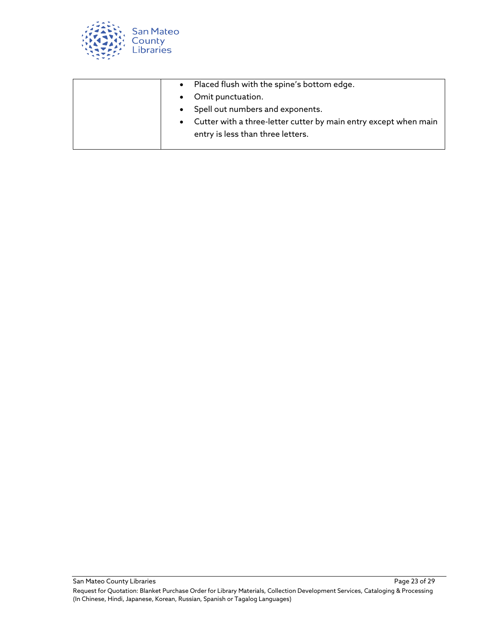

|  | • Placed flush with the spine's bottom edge.                                                            |
|--|---------------------------------------------------------------------------------------------------------|
|  | • Omit punctuation.                                                                                     |
|  | • Spell out numbers and exponents.                                                                      |
|  | • Cutter with a three-letter cutter by main entry except when main<br>entry is less than three letters. |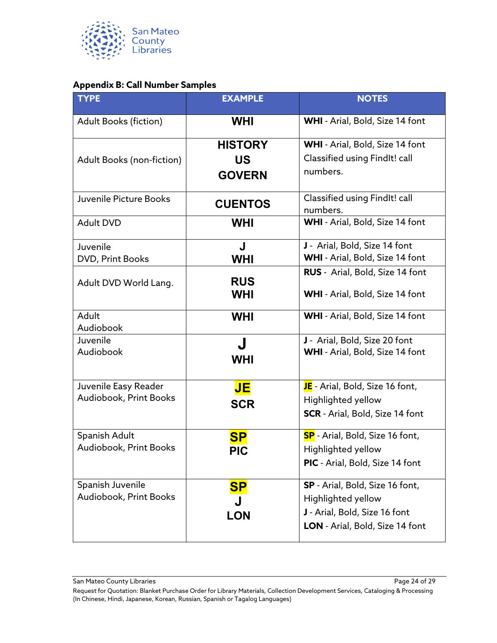

#### <span id="page-23-0"></span>**Appendix B: Call Number Samples**

| <b>TYPE</b>                                    | <b>EXAMPLE</b>                               | <b>NOTES</b>                                                                                                                     |
|------------------------------------------------|----------------------------------------------|----------------------------------------------------------------------------------------------------------------------------------|
| <b>Adult Books (fiction)</b>                   | <b>WHI</b>                                   | WHI - Arial, Bold, Size 14 font                                                                                                  |
| Adult Books (non-fiction)                      | <b>HISTORY</b><br><b>US</b><br><b>GOVERN</b> | WHI - Arial, Bold, Size 14 font<br>Classified using Findlt! call<br>numbers.                                                     |
| Juvenile Picture Books                         | <b>CUENTOS</b>                               | Classified using Findlt! call<br>numbers.                                                                                        |
| <b>Adult DVD</b>                               | <b>WHI</b>                                   | WHI - Arial, Bold, Size 14 font                                                                                                  |
| Juvenile<br>DVD, Print Books                   | J<br><b>WHI</b>                              | J - Arial, Bold, Size 14 font<br>WHI - Arial, Bold, Size 14 font                                                                 |
| Adult DVD World Lang.                          | <b>RUS</b><br><b>WHI</b>                     | RUS - Arial, Bold, Size 14 font<br><b>WHI</b> - Arial, Bold, Size 14 font                                                        |
| Adult<br>Audiobook                             | <b>WHI</b>                                   | WHI - Arial, Bold, Size 14 font                                                                                                  |
| Juvenile<br>Audiobook                          | J<br><b>WHI</b>                              | J - Arial, Bold, Size 20 font<br>WHI - Arial, Bold, Size 14 font                                                                 |
| Juvenile Easy Reader<br>Audiobook, Print Books | JE<br><b>SCR</b>                             | JE - Arial, Bold, Size 16 font,<br>Highlighted yellow<br><b>SCR</b> - Arial, Bold, Size 14 font                                  |
| Spanish Adult<br>Audiobook, Print Books        | <b>SP</b><br><b>PIC</b>                      | <b>SP</b> - Arial, Bold, Size 16 font,<br>Highlighted yellow<br>PIC - Arial, Bold, Size 14 font                                  |
| Spanish Juvenile<br>Audiobook, Print Books     | <u>SP</u><br><b>LON</b>                      | <b>SP</b> - Arial, Bold, Size 16 font,<br>Highlighted yellow<br>J - Arial, Bold, Size 16 font<br>LON - Arial, Bold, Size 14 font |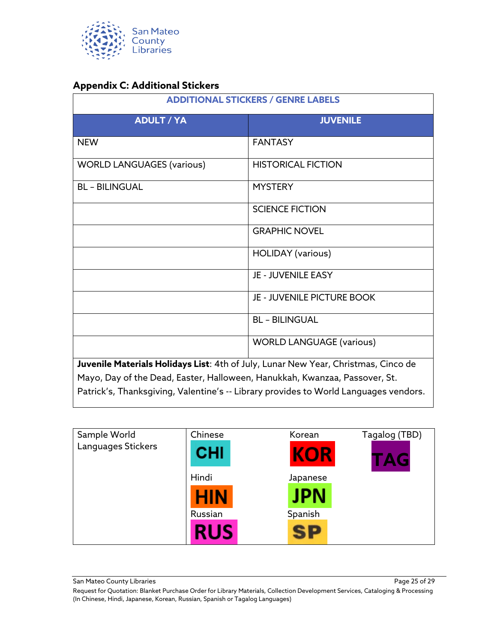

#### <span id="page-24-0"></span>**Appendix C: Additional Stickers**

| <b>ADDITIONAL STICKERS / GENRE LABELS</b>                                  |                                                                                      |  |
|----------------------------------------------------------------------------|--------------------------------------------------------------------------------------|--|
| <b>ADULT / YA</b>                                                          | <b>JUVENILE</b>                                                                      |  |
| <b>NEW</b>                                                                 | <b>FANTASY</b>                                                                       |  |
| <b>WORLD LANGUAGES (various)</b>                                           | <b>HISTORICAL FICTION</b>                                                            |  |
| <b>BL - BILINGUAL</b>                                                      | <b>MYSTERY</b>                                                                       |  |
|                                                                            | <b>SCIENCE FICTION</b>                                                               |  |
|                                                                            | <b>GRAPHIC NOVEL</b>                                                                 |  |
|                                                                            | <b>HOLIDAY</b> (various)                                                             |  |
|                                                                            | JE - JUVENILE EASY                                                                   |  |
|                                                                            | <b>JE - JUVENILE PICTURE BOOK</b>                                                    |  |
|                                                                            | <b>BL - BILINGUAL</b>                                                                |  |
|                                                                            | <b>WORLD LANGUAGE (various)</b>                                                      |  |
|                                                                            | Juvenile Materials Holidays List: 4th of July, Lunar New Year, Christmas, Cinco de   |  |
| Mayo, Day of the Dead, Easter, Halloween, Hanukkah, Kwanzaa, Passover, St. |                                                                                      |  |
|                                                                            | Patrick's, Thanksgiving, Valentine's -- Library provides to World Languages vendors. |  |

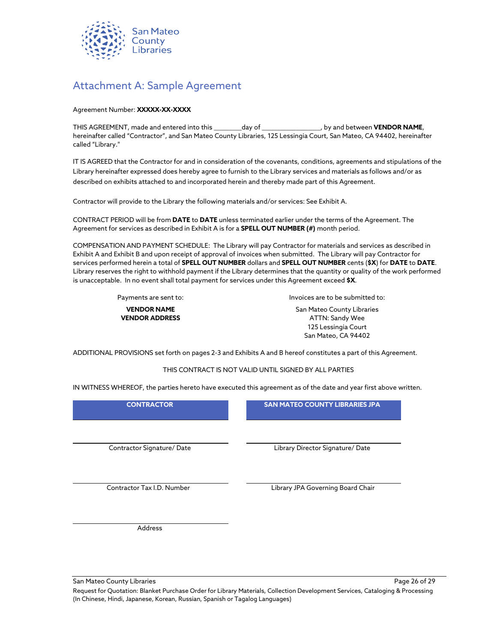

### <span id="page-25-0"></span>Attachment A: Sample Agreement

#### Agreement Number: **XXXXX-XX-XXXX**

THIS AGREEMENT, made and entered into this \_\_\_\_\_\_\_\_\_day of \_\_\_\_\_\_\_\_\_\_\_\_\_\_\_\_\_\_\_, by and between **VENDOR NAME**, hereinafter called "Contractor", and San Mateo County Libraries, 125 Lessingia Court, San Mateo, CA 94402, hereinafter called "Library."

IT IS AGREED that the Contractor for and in consideration of the covenants, conditions, agreements and stipulations of the Library hereinafter expressed does hereby agree to furnish to the Library services and materials as follows and/or as described on exhibits attached to and incorporated herein and thereby made part of this Agreement.

Contractor will provide to the Library the following materials and/or services: See Exhibit A.

CONTRACT PERIOD will be from **DATE** to **DATE** unless terminated earlier under the terms of the Agreement. The Agreement for services as described in Exhibit A is for a **SPELL OUT NUMBER (#)** month period.

COMPENSATION AND PAYMENT SCHEDULE: The Library will pay Contractor for materials and services as described in Exhibit A and Exhibit B and upon receipt of approval of invoices when submitted. The Library will pay Contractor for services performed herein a total of **SPELL OUT NUMBER** dollars and **SPELL OUT NUMBER** cents (**\$X**) for **DATE** to **DATE**. Library reserves the right to withhold payment if the Library determines that the quantity or quality of the work performed is unacceptable. In no event shall total payment for services under this Agreement exceed **\$X**.

**VENDOR NAME VENDOR ADDRESS**

Payments are sent to: Invoices are to be submitted to:

San Mateo County Libraries ATTN: Sandy Wee 125 Lessingia Court San Mateo, CA 94402

ADDITIONAL PROVISIONS set forth on pages 2-3 and Exhibits A and B hereof constitutes a part of this Agreement.

THIS CONTRACT IS NOT VALID UNTIL SIGNED BY ALL PARTIES

IN WITNESS WHEREOF, the parties hereto have executed this agreement as of the date and year first above written.

| <b>CONTRACTOR</b>          | <b>SAN MATEO COUNTY LIBRARIES JPA</b> |
|----------------------------|---------------------------------------|
| Contractor Signature/Date  | Library Director Signature/ Date      |
| Contractor Tax I.D. Number | Library JPA Governing Board Chair     |
| Address                    |                                       |

San Mateo County Libraries Page 26 of 29

Request for Quotation: Blanket Purchase Order for Library Materials, Collection Development Services, Cataloging & Processing (In Chinese, Hindi, Japanese, Korean, Russian, Spanish or Tagalog Languages)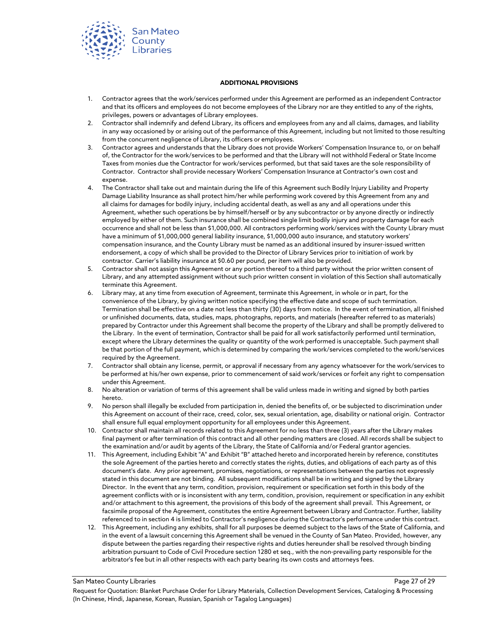

#### **ADDITIONAL PROVISIONS**

- 1. Contractor agrees that the work/services performed under this Agreement are performed as an independent Contractor and that its officers and employees do not become employees of the Library nor are they entitled to any of the rights, privileges, powers or advantages of Library employees.
- 2. Contractor shall indemnify and defend Library, its officers and employees from any and all claims, damages, and liability in any way occasioned by or arising out of the performance of this Agreement, including but not limited to those resulting from the concurrent negligence of Library, its officers or employees.
- 3. Contractor agrees and understands that the Library does not provide Workers' Compensation Insurance to, or on behalf of, the Contractor for the work/services to be performed and that the Library will not withhold Federal or State Income Taxes from monies due the Contractor for work/services performed, but that said taxes are the sole responsibility of Contractor. Contractor shall provide necessary Workers' Compensation Insurance at Contractor's own cost and expense.
- 4. The Contractor shall take out and maintain during the life of this Agreement such Bodily Injury Liability and Property Damage Liability Insurance as shall protect him/her while performing work covered by this Agreement from any and all claims for damages for bodily injury, including accidental death, as well as any and all operations under this Agreement, whether such operations be by himself/herself or by any subcontractor or by anyone directly or indirectly employed by either of them. Such insurance shall be combined single limit bodily injury and property damage for each occurrence and shall not be less than \$1,000,000. All contractors performing work/services with the County Library must have a minimum of \$1,000,000 general liability insurance, \$1,000,000 auto insurance, and statutory workers' compensation insurance, and the County Library must be named as an additional insured by insurer-issued written endorsement, a copy of which shall be provided to the Director of Library Services prior to initiation of work by contractor. Carrier's liability insurance at \$0.60 per pound, per item will also be provided.
- 5. Contractor shall not assign this Agreement or any portion thereof to a third party without the prior written consent of Library, and any attempted assignment without such prior written consent in violation of this Section shall automatically terminate this Agreement.
- 6. Library may, at any time from execution of Agreement, terminate this Agreement, in whole or in part, for the convenience of the Library, by giving written notice specifying the effective date and scope of such termination. Termination shall be effective on a date not less than thirty (30) days from notice. In the event of termination, all finished or unfinished documents, data, studies, maps, photographs, reports, and materials (hereafter referred to as materials) prepared by Contractor under this Agreement shall become the property of the Library and shall be promptly delivered to the Library. In the event of termination, Contractor shall be paid for all work satisfactorily performed until termination, except where the Library determines the quality or quantity of the work performed is unacceptable. Such payment shall be that portion of the full payment, which is determined by comparing the work/services completed to the work/services required by the Agreement.
- 7. Contractor shall obtain any license, permit, or approval if necessary from any agency whatsoever for the work/services to be performed at his/her own expense, prior to commencement of said work/services or forfeit any right to compensation under this Agreement.
- 8. No alteration or variation of terms of this agreement shall be valid unless made in writing and signed by both parties hereto.
- 9. No person shall illegally be excluded from participation in, denied the benefits of, or be subjected to discrimination under this Agreement on account of their race, creed, color, sex, sexual orientation, age, disability or national origin. Contractor shall ensure full equal employment opportunity for all employees under this Agreement.
- 10. Contractor shall maintain all records related to this Agreement for no less than three (3) years after the Library makes final payment or after termination of this contract and all other pending matters are closed. All records shall be subject to the examination and/or audit by agents of the Library, the State of California and/or Federal grantor agencies.
- 11. This Agreement, including Exhibit "A" and Exhibit "B" attached hereto and incorporated herein by reference, constitutes the sole Agreement of the parties hereto and correctly states the rights, duties, and obligations of each party as of this document's date. Any prior agreement, promises, negotiations, or representations between the parties not expressly stated in this document are not binding. All subsequent modifications shall be in writing and signed by the Library Director. In the event that any term, condition, provision, requirement or specification set forth in this body of the agreement conflicts with or is inconsistent with any term, condition, provision, requirement or specification in any exhibit and/or attachment to this agreement, the provisions of this body of the agreement shall prevail. This Agreement, or facsimile proposal of the Agreement, constitutes the entire Agreement between Library and Contractor. Further, liability referenced to in section 4 is limited to Contractor's negligence during the Contractor's performance under this contract.
- 12. This Agreement, including any exhibits, shall for all purposes be deemed subject to the laws of the State of California, and in the event of a lawsuit concerning this Agreement shall be venued in the County of San Mateo. Provided, however, any dispute between the parties regarding their respective rights and duties hereunder shall be resolved through binding arbitration pursuant to Code of Civil Procedure section 1280 et seq., with the non-prevailing party responsible for the arbitrator's fee but in all other respects with each party bearing its own costs and attorneys fees.

Request for Quotation: Blanket Purchase Order for Library Materials, Collection Development Services, Cataloging & Processing (In Chinese, Hindi, Japanese, Korean, Russian, Spanish or Tagalog Languages)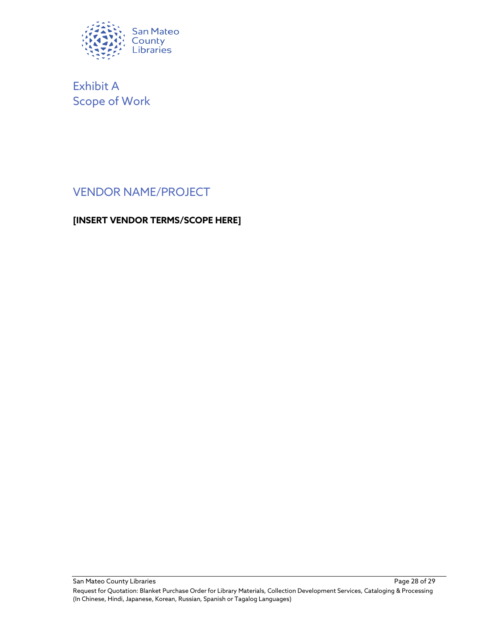

Exhibit A Scope of Work

## VENDOR NAME/PROJECT

#### **[INSERT VENDOR TERMS/SCOPE HERE]**